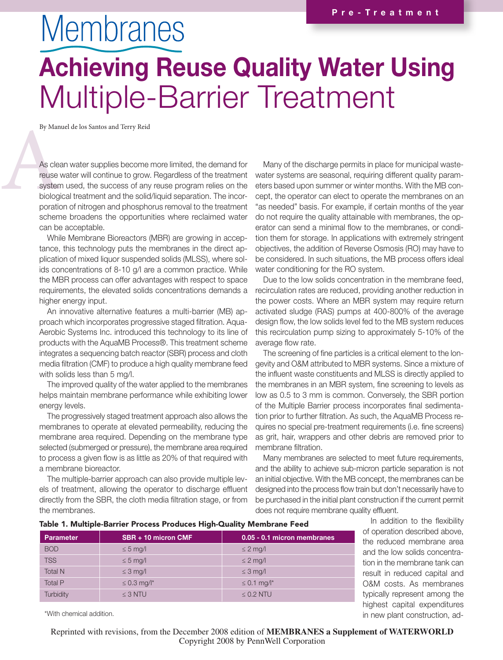## **Membranes** Achieving Reuse Quality Water Using Multiple-Barrier Treatment

By Manuel de los Santos and Terry Reid

By Man<br>
As clea<br>
reuse \<br>
system<br>
biologi<br>
poratic As clean water supplies become more limited, the demand for reuse water will continue to grow. Regardless of the treatment system used, the success of any reuse program relies on the biological treatment and the solid/liquid separation. The incorporation of nitrogen and phosphorus removal to the treatment scheme broadens the opportunities where reclaimed water can be acceptable.

> While Membrane Bioreactors (MBR) are growing in acceptance, this technology puts the membranes in the direct application of mixed liquor suspended solids (MLSS), where solids concentrations of 8-10 g/l are a common practice. While the MBR process can offer advantages with respect to space requirements, the elevated solids concentrations demands a higher energy input.

> An innovative alternative features a multi-barrier (MB) approach which incorporates progressive staged filtration. Aqua-Aerobic Systems Inc. introduced this technology to its line of products with the AquaMB Process®. This treatment scheme integrates a sequencing batch reactor (SBR) process and cloth media filtration (CMF) to produce a high quality membrane feed with solids less than 5 mg/l.

> The improved quality of the water applied to the membranes helps maintain membrane performance while exhibiting lower energy levels.

> The progressively staged treatment approach also allows the membranes to operate at elevated permeability, reducing the membrane area required. Depending on the membrane type selected (submerged or pressure), the membrane area required to process a given flow is as little as 20% of that required with a membrane bioreactor.

> The multiple-barrier approach can also provide multiple levels of treatment, allowing the operator to discharge effluent directly from the SBR, the cloth media filtration stage, or from the membranes.

Many of the discharge permits in place for municipal wastewater systems are seasonal, requiring different quality parameters based upon summer or winter months. With the MB concept, the operator can elect to operate the membranes on an "as needed" basis. For example, if certain months of the year do not require the quality attainable with membranes, the operator can send a minimal flow to the membranes, or condition them for storage. In applications with extremely stringent objectives, the addition of Reverse Osmosis (RO) may have to be considered. In such situations, the MB process offers ideal water conditioning for the RO system.

Due to the low solids concentration in the membrane feed, recirculation rates are reduced, providing another reduction in the power costs. Where an MBR system may require return activated sludge (RAS) pumps at 400-800% of the average design flow, the low solids level fed to the MB system reduces this recirculation pump sizing to approximately 5-10% of the average flow rate.

The screening of fine particles is a critical element to the longevity and O&M attributed to MBR systems. Since a mixture of the influent waste constituents and MLSS is directly applied to the membranes in an MBR system, fine screening to levels as low as 0.5 to 3 mm is common. Conversely, the SBR portion of the Multiple Barrier process incorporates final sedimentation prior to further filtration. As such, the AquaMB Process requires no special pre-treatment requirements (i.e. fine screens) as grit, hair, wrappers and other debris are removed prior to membrane filtration.

Many membranes are selected to meet future requirements, and the ability to achieve sub-micron particle separation is not an initial objective. With the MB concept, the membranes can be designed into the process flow train but don't necessarily have to be purchased in the initial plant construction if the current permit does not require membrane quality effluent.

| Table 1. Multiple-Barrier Process Produces High-Quality Membrane Feed |
|-----------------------------------------------------------------------|
|                                                                       |

Parameter | SBR + 10 micron CMF 0.05 - 0.1 micron membranes  $BOD \leq 5$  mg/l  $\leq 5$  mg/l  $\leq 2$  mg/l TSS  $\leq 5 \text{ mg/l}$   $\leq 2 \text{ mg/l}$ Total N  $\leq 3$  mg/l  $\leq 3$  mg/l Total P  $\leq 0.3$  mg/l\*  $\leq 0.1$  mg/l\* Turbidity ≤ 3 NTU ≤ 0.2 NTU

In addition to the flexibility of operation described above, the reduced membrane area and the low solids concentration in the membrane tank can result in reduced capital and O&M costs. As membranes typically represent among the highest capital expenditures in new plant construction, ad-

\*With chemical addition.

Reprinted with revisions, from the December 2008 edition of **MEMBRANES a Supplement of WATERWORLD** Copyright 2008 by PennWell Corporation